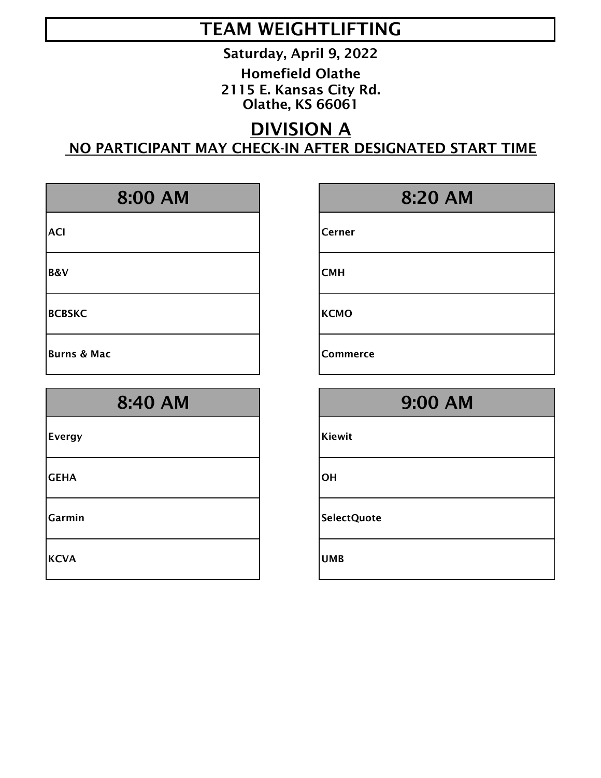Saturday, April 9, 2022

Homefield Olathe 2115 E. Kansas City Rd. Olathe, KS 66061

## DIVISION A NO PARTICIPANT MAY CHECK-IN AFTER DESIGNATED START TIME

| 8:00 AM                | 8:20 AM         |
|------------------------|-----------------|
| <b>ACI</b>             | Cerner          |
| <b>B&amp;V</b>         | <b>CMH</b>      |
| <b>BCBSKC</b>          | <b>KCMO</b>     |
| <b>Burns &amp; Mac</b> | <b>Commerce</b> |
| 8:40 AM                | <b>9:00 AM</b>  |
| <b>Evergy</b>          | <b>Kiewit</b>   |
| <b>GEHA</b>            | OH              |
|                        |                 |
| Garmin                 | SelectQuote     |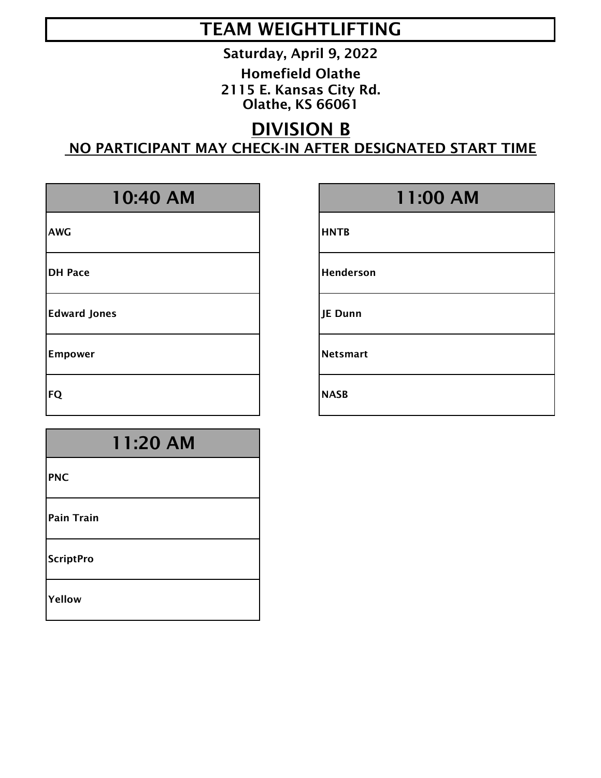Saturday, April 9, 2022

Homefield Olathe 2115 E. Kansas City Rd. Olathe, KS 66061

## DIVISION B NO PARTICIPANT MAY CHECK-IN AFTER DESIGNATED START TIME

| 10:40 AM            |              |
|---------------------|--------------|
| <b>AWG</b>          | <b>HNTB</b>  |
| <b>DH Pace</b>      | Hend         |
| <b>Edward Jones</b> | JE Du        |
| <b>Empower</b>      | <b>Netsn</b> |
|                     |              |

## 11:20 AM

PNC

Pain Train

**ScriptPro** 

Yellow

## 11:00 AM

**Henderson** 

JE Dunn

**Netsmart** 

FQ NASB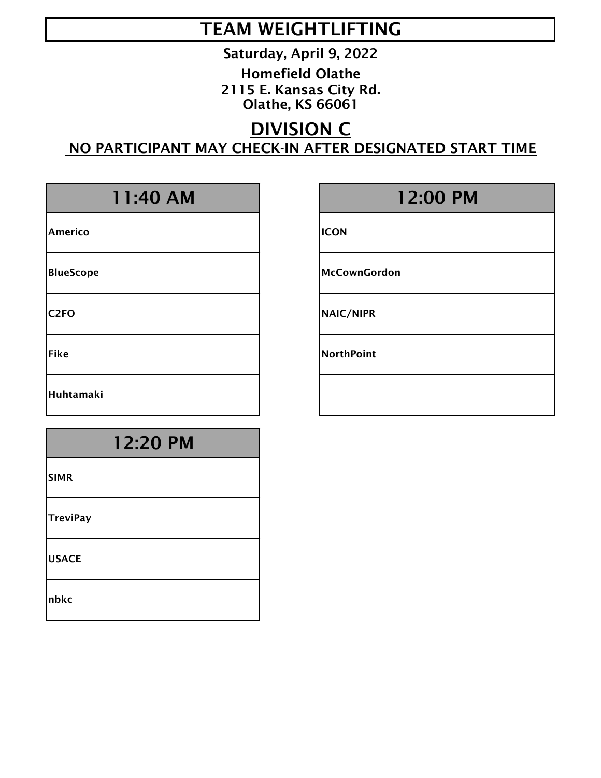Saturday, April 9, 2022

Homefield Olathe 2115 E. Kansas City Rd. Olathe, KS 66061

## DIVISION C NO PARTICIPANT MAY CHECK-IN AFTER DESIGNATED START TIME

Americo and ICON

Huhtamaki

## 12:20 PM

SIMR

**TreviPay** 

USACE

nbkc

## 11:40 AM 12:00 PM

BlueScope Manual McCownGordon

C2FO NAIC/NIPR

Fike **NorthPoint**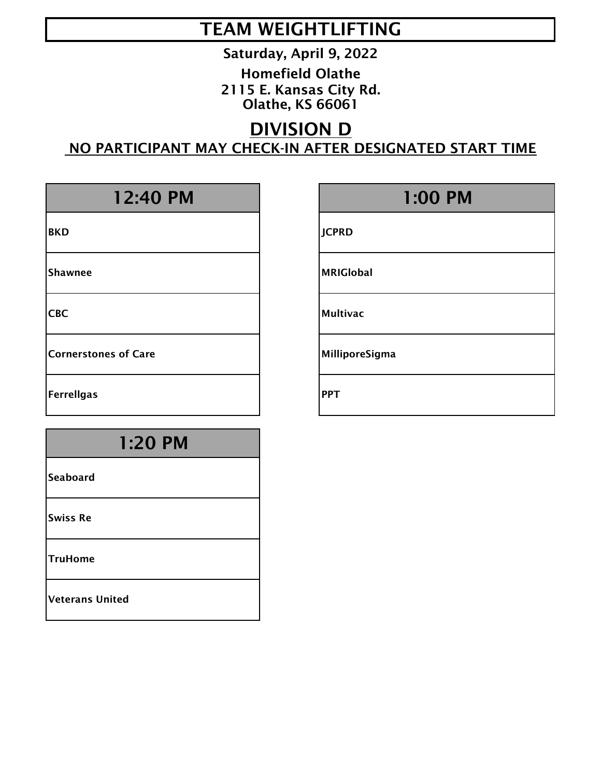Saturday, April 9, 2022

Homefield Olathe 2115 E. Kansas City Rd. Olathe, KS 66061

### DIVISION D NO PARTICIPANT MAY CHECK-IN AFTER DESIGNATED START TIME

Cornerstones of Care MilliporeSigma

Ferreligas and the periodic state of  $\vert$  PPT

## 1:20 PM

**Seaboard** 

Swiss Re

TruHome

Veterans United

## 12:40 PM 1:00 PM

BKD JCPRD

Shawnee Management and the MRIGlobal

CBC Multivac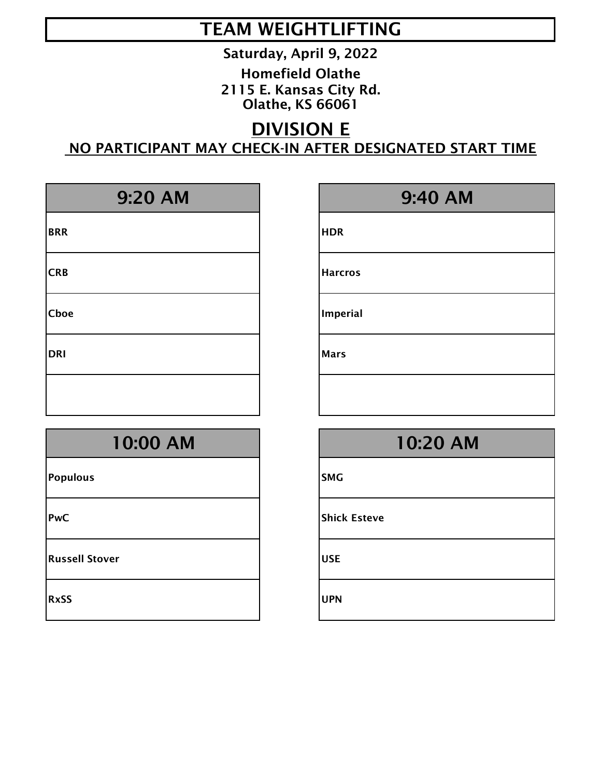Saturday, April 9, 2022

Homefield Olathe 2115 E. Kansas City Rd. Olathe, KS 66061

## DIVISION E NO PARTICIPANT MAY CHECK-IN AFTER DESIGNATED START TIME

| 9:20 AM     |             |
|-------------|-------------|
| <b>BRR</b>  | <b>HDR</b>  |
| <b>CRB</b>  | Harc        |
| <b>Cboe</b> | Impe        |
| <b>DRI</b>  | <b>Mars</b> |
|             |             |

## 9:40 AM

**Harcros** 

Imperial

Populous and a state of the state of the state of the state of the state of the state of the state of the state

**Russell Stover Community Community Community Community Community Community Community Community Community Community** 

RxSS UPN

# 10:00 AM 10:20 AM PwC Shick Esteve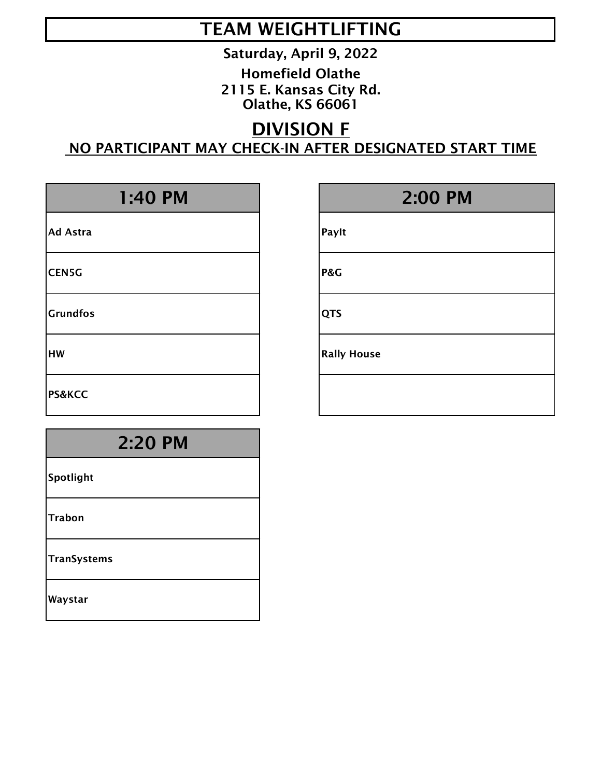Saturday, April 9, 2022

Homefield Olathe 2115 E. Kansas City Rd. Olathe, KS 66061

## DIVISION F NO PARTICIPANT MAY CHECK-IN AFTER DESIGNATED START TIME

| 1:40 PM           | 2:00 PM            |
|-------------------|--------------------|
| <b>Ad Astra</b>   | Paylt              |
| <b>CEN5G</b>      | P&G                |
| <b>Grundfos</b>   | <b>QTS</b>         |
| <b>HW</b>         | <b>Rally House</b> |
| <b>PS&amp;KCC</b> |                    |
| 2:20 PM           |                    |

| Spotlight |  |
|-----------|--|
|-----------|--|

Trabon

**TranSystems** 

Waystar

|            | 2:00 PM |
|------------|---------|
| aylt       |         |
| &G         |         |
| <b>TS</b>  |         |
| ally House |         |
|            |         |